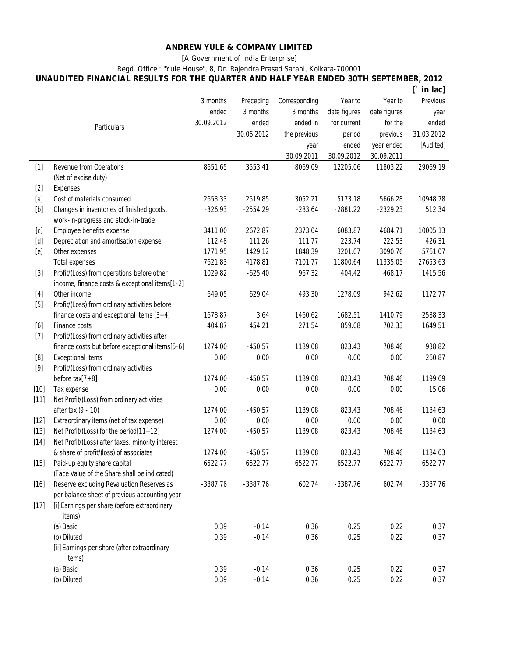#### **ANDREW YULE & COMPANY LIMITED**

**[A Government of India Enterprise]**

## **Regd. Office : "Yule House", 8, Dr. Rajendra Prasad Sarani, Kolkata-700001**

**UNAUDITED FINANCIAL RESULTS FOR THE QUARTER AND HALF YEAR ENDED 30TH SEPTEMBER, 2012**

|        |                                                        |            |            |               |              |              | in lac]    |
|--------|--------------------------------------------------------|------------|------------|---------------|--------------|--------------|------------|
|        |                                                        | 3 months   | Preceding  | Corresponding | Year to      | Year to      | Previous   |
|        |                                                        | ended      | 3 months   | 3 months      | date figures | date figures | year       |
|        | Particulars                                            | 30.09.2012 | ended      | ended in      | for current  | for the      | ended      |
|        |                                                        |            | 30.06.2012 | the previous  | period       | previous     | 31.03.2012 |
|        |                                                        |            |            | year          | ended        | year ended   | [Audited]  |
|        |                                                        |            |            | 30.09.2011    | 30.09.2012   | 30.09.2011   |            |
| $[1]$  | Revenue from Operations                                | 8651.65    | 3553.41    | 8069.09       | 12205.06     | 11803.22     | 29069.19   |
|        | (Net of excise duty)                                   |            |            |               |              |              |            |
| $[2]$  | <b>Expenses</b>                                        |            |            |               |              |              |            |
| [a]    | Cost of materials consumed                             | 2653.33    | 2519.85    | 3052.21       | 5173.18      | 5666.28      | 10948.78   |
|        | Changes in inventories of finished goods,              | $-326.93$  | $-2554.29$ | $-283.64$     | $-2881.22$   | $-2329.23$   | 512.34     |
|        | work-in-progress and stock-in-trade                    |            |            |               |              |              |            |
| [c]    | Employee benefits expense                              | 3411.00    | 2672.87    | 2373.04       | 6083.87      | 4684.71      | 10005.13   |
|        | Depreciation and amortisation expense                  | 112.48     | 111.26     | 111.77        | 223.74       | 222.53       | 426.31     |
| [e]    | Other expenses                                         | 1771.95    | 1429.12    | 1848.39       | 3201.07      | 3090.76      | 5761.07    |
|        | <b>Total expenses</b>                                  | 7621.83    | 4178.81    | 7101.77       | 11800.64     | 11335.05     | 27653.63   |
| $[3]$  | Profit/(Loss) from operations before other             | 1029.82    | $-625.40$  | 967.32        | 404.42       | 468.17       | 1415.56    |
|        | income, finance costs & exceptional items[1-2]         |            |            |               |              |              |            |
| $[4]$  | Other income                                           | 649.05     | 629.04     | 493.30        | 1278.09      | 942.62       | 1172.77    |
| $[5]$  | Profit/(Loss) from ordinary activities before          |            |            |               |              |              |            |
|        | finance costs and exceptional items $[3+4]$            | 1678.87    | 3.64       | 1460.62       | 1682.51      | 1410.79      | 2588.33    |
| [6]    | <b>Finance costs</b>                                   | 404.87     | 454.21     | 271.54        | 859.08       | 702.33       | 1649.51    |
| $[7]$  | Profit/(Loss) from ordinary activities after           |            |            |               |              |              |            |
|        | finance costs but before exceptional items[5-6]        | 1274.00    | $-450.57$  | 1189.08       | 823.43       | 708.46       | 938.82     |
| [8]    | <b>Exceptional items</b>                               | 0.00       | 0.00       | 0.00          | 0.00         | 0.00         | 260.87     |
| $[9]$  | Profit/(Loss) from ordinary activities                 |            |            |               |              |              |            |
|        | before $\text{tax}[7+8]$                               | 1274.00    | $-450.57$  | 1189.08       | 823.43       | 708.46       | 1199.69    |
| $[10]$ | Tax expense                                            | 0.00       | 0.00       | 0.00          | 0.00         | 0.00         | 15.06      |
| $[11]$ | Net Profit/(Loss) from ordinary activities             |            |            |               |              |              |            |
|        | after tax (9 - 10)                                     | 1274.00    | $-450.57$  | 1189.08       | 823.43       | 708.46       | 1184.63    |
| $[12]$ | Extraordinary items (net of tax expense)               | 0.00       | 0.00       | 0.00          | 0.00         | 0.00         | 0.00       |
| $[13]$ | Net Profit/(Loss) for the period[11+12]                | 1274.00    | $-450.57$  | 1189.08       | 823.43       | 708.46       | 1184.63    |
| $[14]$ | Net Profit/(Loss) after taxes, minority interest       |            |            |               |              |              |            |
|        | & share of profit/(loss) of associates                 | 1274.00    | $-450.57$  | 1189.08       | 823.43       | 708.46       | 1184.63    |
| $[15]$ | Paid-up equity share capital                           | 6522.77    | 6522.77    | 6522.77       | 6522.77      | 6522.77      | 6522.77    |
|        | (Face Value of the Share shall be indicated)           |            |            |               |              |              |            |
| $[16]$ | Reserve excluding Revaluation Reserves as              | $-3387.76$ | $-3387.76$ | 602.74        | $-3387.76$   | 602.74       | $-3387.76$ |
|        | per balance sheet of previous accounting year          |            |            |               |              |              |            |
| $[17]$ | [i] Earnings per share (before extraordinary<br>items) |            |            |               |              |              |            |
|        | (a) Basic                                              | 0.39       | $-0.14$    | 0.36          | 0.25         | 0.22         | 0.37       |
|        | (b) Diluted                                            | 0.39       | $-0.14$    | 0.36          | 0.25         | 0.22         | 0.37       |
|        | [ii] Earnings per share (after extraordinary           |            |            |               |              |              |            |
|        | items)                                                 |            |            |               |              |              |            |
|        | (a) Basic                                              | 0.39       | $-0.14$    | 0.36          | 0.25         | 0.22         | 0.37       |
|        | (b) Diluted                                            | 0.39       | $-0.14$    | 0.36          | 0.25         | 0.22         | 0.37       |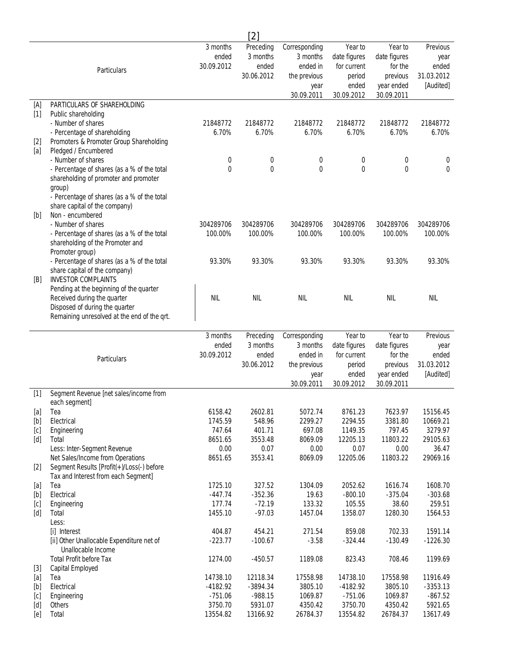|              |                                                                                      |                        | [2]                    |                           |                             |                          |                        |
|--------------|--------------------------------------------------------------------------------------|------------------------|------------------------|---------------------------|-----------------------------|--------------------------|------------------------|
|              |                                                                                      | 3 months               | Preceding              | Corresponding             | Year to                     | Year to                  | Previous               |
|              |                                                                                      | ended                  | 3 months               | 3 months                  | date figures                | date figures             | year                   |
|              | Particulars                                                                          | 30.09.2012             | ended                  | ended in                  | for current                 | for the                  | ended                  |
|              |                                                                                      |                        | 30.06.2012             | the previous              | period                      | previous                 | 31.03.2012             |
|              |                                                                                      |                        |                        | year<br>30.09.2011        | ended<br>30.09.2012         | year ended<br>30.09.2011 | [Audited]              |
| [A]          | PARTICULARS OF SHAREHOLDING                                                          |                        |                        |                           |                             |                          |                        |
| $[1]$        | Public shareholding                                                                  |                        |                        |                           |                             |                          |                        |
|              | - Number of shares                                                                   | 21848772               | 21848772               | 21848772                  | 21848772                    | 21848772                 | 21848772               |
|              | - Percentage of shareholding                                                         | 6.70%                  | 6.70%                  | 6.70%                     | 6.70%                       | 6.70%                    | 6.70%                  |
| $[2]$        | Promoters & Promoter Group Shareholding                                              |                        |                        |                           |                             |                          |                        |
| [a]          | Pledged / Encumbered                                                                 |                        |                        |                           |                             |                          |                        |
|              | - Number of shares                                                                   | 0<br>0                 | 0<br>0                 | 0<br>0                    | 0<br>0                      | 0<br>0                   | 0<br>0                 |
|              | - Percentage of shares (as a % of the total<br>shareholding of promoter and promoter |                        |                        |                           |                             |                          |                        |
|              | group)                                                                               |                        |                        |                           |                             |                          |                        |
|              | - Percentage of shares (as a % of the total                                          |                        |                        |                           |                             |                          |                        |
|              | share capital of the company)                                                        |                        |                        |                           |                             |                          |                        |
| [b]          | Non - encumbered                                                                     |                        |                        |                           |                             |                          |                        |
|              | - Number of shares                                                                   | 304289706              | 304289706              | 304289706                 | 304289706                   | 304289706                | 304289706              |
|              | - Percentage of shares (as a % of the total                                          | 100.00%                | 100.00%                | 100.00%                   | 100.00%                     | 100.00%                  | 100.00%                |
|              | shareholding of the Promoter and                                                     |                        |                        |                           |                             |                          |                        |
|              | Promoter group)<br>- Percentage of shares (as a % of the total                       | 93.30%                 | 93.30%                 | 93.30%                    | 93.30%                      | 93.30%                   | 93.30%                 |
|              | share capital of the company)                                                        |                        |                        |                           |                             |                          |                        |
| [B]          | <b>INVESTOR COMPLAINTS</b>                                                           |                        |                        |                           |                             |                          |                        |
|              | Pending at the beginning of the quarter                                              |                        |                        |                           |                             |                          |                        |
|              | Received during the quarter                                                          | <b>NIL</b>             | <b>NIL</b>             | <b>NIL</b>                | <b>NIL</b>                  | <b>NIL</b>               | <b>NIL</b>             |
|              | Disposed of during the quarter                                                       |                        |                        |                           |                             |                          |                        |
|              | Remaining unresolved at the end of the qrt.                                          |                        |                        |                           |                             |                          |                        |
|              |                                                                                      |                        |                        |                           |                             |                          |                        |
|              |                                                                                      |                        |                        |                           |                             |                          |                        |
|              |                                                                                      | 3 months<br>ended      | Preceding<br>3 months  | Corresponding<br>3 months | Year to                     | Year to                  | Previous<br>year       |
|              |                                                                                      | 30.09.2012             | ended                  | ended in                  | date figures<br>for current | date figures<br>for the  | ended                  |
|              | Particulars                                                                          |                        | 30.06.2012             | the previous              | period                      | previous                 | 31.03.2012             |
|              |                                                                                      |                        |                        | year                      | ended                       | year ended               | [Audited]              |
|              |                                                                                      |                        |                        | 30.09.2011                | 30.09.2012                  | 30.09.2011               |                        |
| $[1]$        | Segment Revenue [net sales/income from                                               |                        |                        |                           |                             |                          |                        |
|              | each segment]                                                                        |                        |                        |                           |                             |                          |                        |
| $[a]$        | Tea                                                                                  | 6158.42                | 2602.81                | 5072.74                   | 8761.23                     | 7623.97                  | 15156.45               |
|              | Electrical                                                                           | 1745.59<br>747.64      | 548.96<br>401.71       | 2299.27<br>697.08         | 2294.55<br>1149.35          | 3381.80<br>797.45        | 10669.21<br>3279.97    |
| [c]<br>[d]   | Engineering<br>Total                                                                 | 8651.65                | 3553.48                | 8069.09                   | 12205.13                    | 11803.22                 | 29105.63               |
|              | Less: Inter-Segment Revenue                                                          | 0.00                   | 0.07                   | 0.00                      | 0.07                        | 0.00                     | 36.47                  |
|              | Net Sales/Income from Operations                                                     | 8651.65                | 3553.41                | 8069.09                   | 12205.06                    | 11803.22                 | 29069.16               |
| $[2]$        | Segment Results [Profit(+)/Loss(-) before                                            |                        |                        |                           |                             |                          |                        |
|              | Tax and Interest from each Segment]                                                  |                        |                        |                           |                             |                          |                        |
| $[a]$        | Tea                                                                                  | 1725.10                | 327.52                 | 1304.09                   | 2052.62                     | 1616.74                  | 1608.70                |
|              | Electrical                                                                           | $-447.74$              | $-352.36$              | 19.63                     | $-800.10$                   | $-375.04$                | $-303.68$<br>259.51    |
| [c]<br>[d]   | Engineering<br>Total                                                                 | 177.74<br>1455.10      | $-72.19$<br>$-97.03$   | 133.32<br>1457.04         | 105.55<br>1358.07           | 38.60<br>1280.30         | 1564.53                |
|              | Less:                                                                                |                        |                        |                           |                             |                          |                        |
|              | [i] Interest                                                                         | 404.87                 | 454.21                 | 271.54                    | 859.08                      | 702.33                   | 1591.14                |
|              | [ii] Other Unallocable Expenditure net of                                            | $-223.77$              | $-100.67$              | $-3.58$                   | $-324.44$                   | $-130.49$                | $-1226.30$             |
|              | Unallocable Income                                                                   |                        |                        |                           |                             |                          |                        |
|              | <b>Total Profit before Tax</b>                                                       | 1274.00                | $-450.57$              | 1189.08                   | 823.43                      | 708.46                   | 1199.69                |
| $[3]$        | <b>Capital Employed</b>                                                              |                        |                        |                           |                             |                          |                        |
| $[a]$<br>[b] | Tea<br>Electrical                                                                    | 14738.10<br>$-4182.92$ | 12118.34<br>$-3894.34$ | 17558.98<br>3805.10       | 14738.10<br>$-4182.92$      | 17558.98<br>3805.10      | 11916.49<br>$-3353.13$ |
| [c]          | Engineering                                                                          | $-751.06$              | $-988.15$              | 1069.87                   | $-751.06$                   | 1069.87                  | $-867.52$              |
| [d]<br>[e]   | Others<br>Total                                                                      | 3750.70<br>13554.82    | 5931.07<br>13166.92    | 4350.42<br>26784.37       | 3750.70<br>13554.82         | 4350.42<br>26784.37      | 5921.65<br>13617.49    |